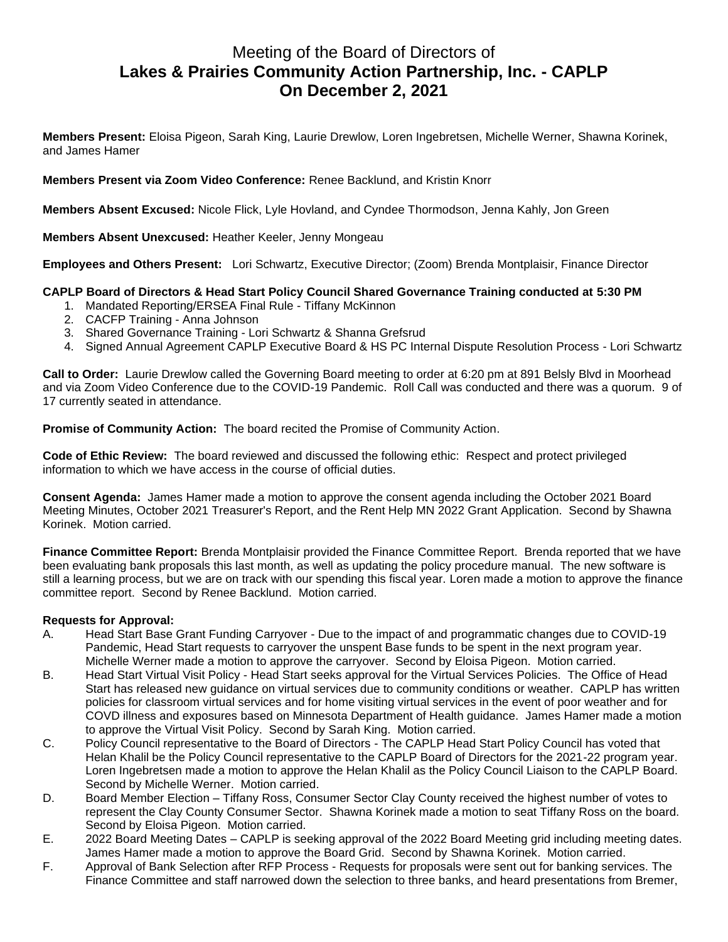# Meeting of the Board of Directors of **Lakes & Prairies Community Action Partnership, Inc. - CAPLP On December 2, 2021**

**Members Present:** Eloisa Pigeon, Sarah King, Laurie Drewlow, Loren Ingebretsen, Michelle Werner, Shawna Korinek, and James Hamer

**Members Present via Zoom Video Conference:** Renee Backlund, and Kristin Knorr

**Members Absent Excused:** Nicole Flick, Lyle Hovland, and Cyndee Thormodson, Jenna Kahly, Jon Green

**Members Absent Unexcused:** Heather Keeler, Jenny Mongeau

**Employees and Others Present:** Lori Schwartz, Executive Director; (Zoom) Brenda Montplaisir, Finance Director

## **CAPLP Board of Directors & Head Start Policy Council Shared Governance Training conducted at 5:30 PM**

- 1. Mandated Reporting/ERSEA Final Rule Tiffany McKinnon
- 2. CACFP Training Anna Johnson
- 3. Shared Governance Training Lori Schwartz & Shanna Grefsrud
- 4. Signed Annual Agreement CAPLP Executive Board & HS PC Internal Dispute Resolution Process Lori Schwartz

**Call to Order:** Laurie Drewlow called the Governing Board meeting to order at 6:20 pm at 891 Belsly Blvd in Moorhead and via Zoom Video Conference due to the COVID-19 Pandemic. Roll Call was conducted and there was a quorum. 9 of 17 currently seated in attendance.

**Promise of Community Action:** The board recited the Promise of Community Action.

**Code of Ethic Review:** The board reviewed and discussed the following ethic: Respect and protect privileged information to which we have access in the course of official duties.

**Consent Agenda:** James Hamer made a motion to approve the consent agenda including the October 2021 Board Meeting Minutes, October 2021 Treasurer's Report, and the Rent Help MN 2022 Grant Application. Second by Shawna Korinek. Motion carried.

**Finance Committee Report:** Brenda Montplaisir provided the Finance Committee Report. Brenda reported that we have been evaluating bank proposals this last month, as well as updating the policy procedure manual. The new software is still a learning process, but we are on track with our spending this fiscal year. Loren made a motion to approve the finance committee report. Second by Renee Backlund. Motion carried.

#### **Requests for Approval:**

- A. Head Start Base Grant Funding Carryover Due to the impact of and programmatic changes due to COVID-19 Pandemic, Head Start requests to carryover the unspent Base funds to be spent in the next program year. Michelle Werner made a motion to approve the carryover. Second by Eloisa Pigeon. Motion carried.
- B. Head Start Virtual Visit Policy Head Start seeks approval for the Virtual Services Policies. The Office of Head Start has released new guidance on virtual services due to community conditions or weather. CAPLP has written policies for classroom virtual services and for home visiting virtual services in the event of poor weather and for COVD illness and exposures based on Minnesota Department of Health guidance. James Hamer made a motion to approve the Virtual Visit Policy. Second by Sarah King. Motion carried.
- C. Policy Council representative to the Board of Directors The CAPLP Head Start Policy Council has voted that Helan Khalil be the Policy Council representative to the CAPLP Board of Directors for the 2021-22 program year. Loren Ingebretsen made a motion to approve the Helan Khalil as the Policy Council Liaison to the CAPLP Board. Second by Michelle Werner. Motion carried.
- D. Board Member Election Tiffany Ross, Consumer Sector Clay County received the highest number of votes to represent the Clay County Consumer Sector. Shawna Korinek made a motion to seat Tiffany Ross on the board. Second by Eloisa Pigeon. Motion carried.
- E. 2022 Board Meeting Dates CAPLP is seeking approval of the 2022 Board Meeting grid including meeting dates. James Hamer made a motion to approve the Board Grid. Second by Shawna Korinek. Motion carried.
- F. Approval of Bank Selection after RFP Process Requests for proposals were sent out for banking services. The Finance Committee and staff narrowed down the selection to three banks, and heard presentations from Bremer,